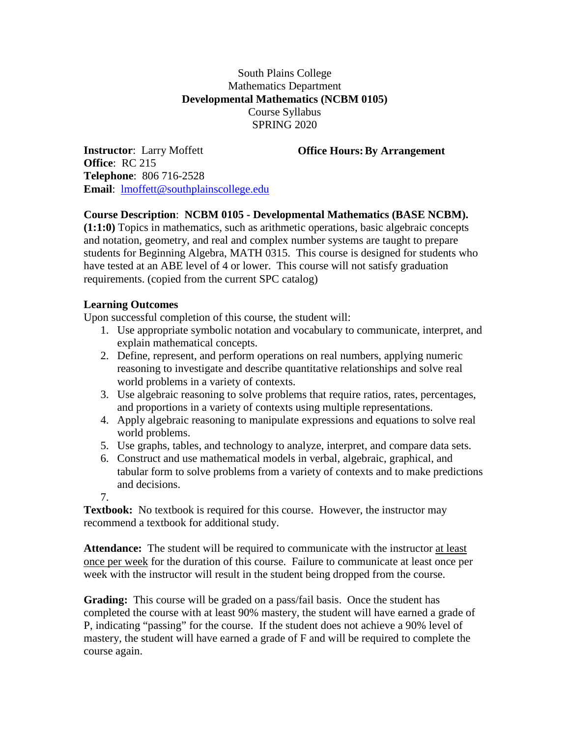## South Plains College Mathematics Department **Developmental Mathematics (NCBM 0105)** Course Syllabus SPRING 2020

**Office Hours:By Arrangement**

**Instructor**: Larry Moffett **Office**: RC 215 **Telephone**: 806 716-2528 **Email**: [lmoffett@southplainscollege.edu](mailto:lmoffett@southplainscollege.edu)

## **Course Description**: **NCBM 0105 - Developmental Mathematics (BASE NCBM).**

**(1:1:0)** Topics in mathematics, such as arithmetic operations, basic algebraic concepts and notation, geometry, and real and complex number systems are taught to prepare students for Beginning Algebra, MATH 0315. This course is designed for students who have tested at an ABE level of 4 or lower. This course will not satisfy graduation requirements. (copied from the current SPC catalog)

## **Learning Outcomes**

Upon successful completion of this course, the student will:

- 1. Use appropriate symbolic notation and vocabulary to communicate, interpret, and explain mathematical concepts.
- 2. Define, represent, and perform operations on real numbers, applying numeric reasoning to investigate and describe quantitative relationships and solve real world problems in a variety of contexts.
- 3. Use algebraic reasoning to solve problems that require ratios, rates, percentages, and proportions in a variety of contexts using multiple representations.
- 4. Apply algebraic reasoning to manipulate expressions and equations to solve real world problems.
- 5. Use graphs, tables, and technology to analyze, interpret, and compare data sets.
- 6. Construct and use mathematical models in verbal, algebraic, graphical, and tabular form to solve problems from a variety of contexts and to make predictions and decisions.
- 7.

**Textbook:** No textbook is required for this course. However, the instructor may recommend a textbook for additional study.

**Attendance:** The student will be required to communicate with the instructor at least once per week for the duration of this course. Failure to communicate at least once per week with the instructor will result in the student being dropped from the course.

**Grading:** This course will be graded on a pass/fail basis. Once the student has completed the course with at least 90% mastery, the student will have earned a grade of P, indicating "passing" for the course. If the student does not achieve a 90% level of mastery, the student will have earned a grade of F and will be required to complete the course again.